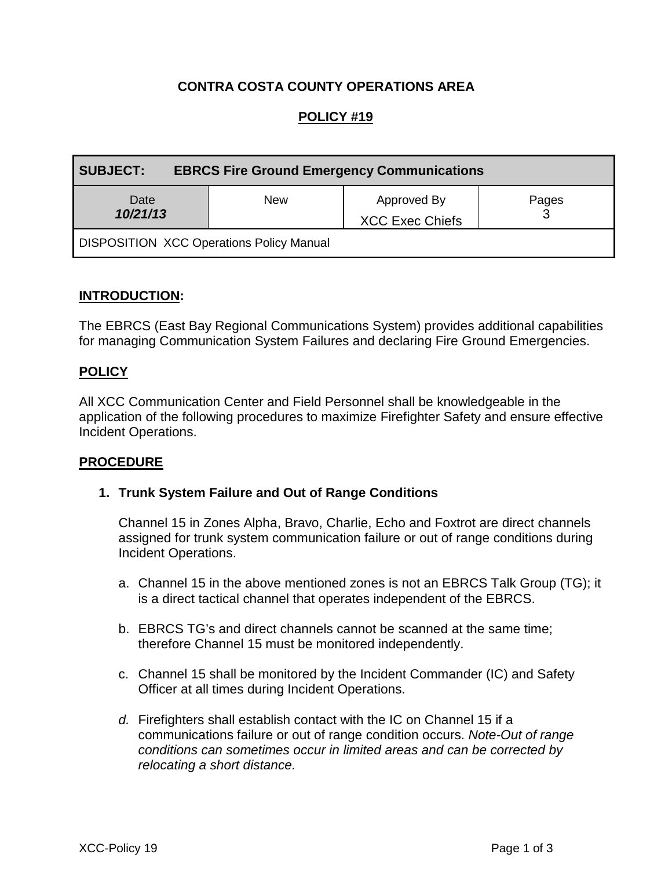## **CONTRA COSTA COUNTY OPERATIONS AREA**

# **POLICY #19**

| <b>SUBJECT:</b><br><b>EBRCS Fire Ground Emergency Communications</b> |            |                                       |       |
|----------------------------------------------------------------------|------------|---------------------------------------|-------|
| Date<br>10/21/13                                                     | <b>New</b> | Approved By<br><b>XCC Exec Chiefs</b> | Pages |
| <b>DISPOSITION XCC Operations Policy Manual</b>                      |            |                                       |       |

## **INTRODUCTION:**

The EBRCS (East Bay Regional Communications System) provides additional capabilities for managing Communication System Failures and declaring Fire Ground Emergencies.

#### **POLICY**

All XCC Communication Center and Field Personnel shall be knowledgeable in the application of the following procedures to maximize Firefighter Safety and ensure effective Incident Operations.

#### **PROCEDURE**

#### **1. Trunk System Failure and Out of Range Conditions**

Channel 15 in Zones Alpha, Bravo, Charlie, Echo and Foxtrot are direct channels assigned for trunk system communication failure or out of range conditions during Incident Operations.

- a. Channel 15 in the above mentioned zones is not an EBRCS Talk Group (TG); it is a direct tactical channel that operates independent of the EBRCS.
- b. EBRCS TG's and direct channels cannot be scanned at the same time; therefore Channel 15 must be monitored independently.
- c. Channel 15 shall be monitored by the Incident Commander (IC) and Safety Officer at all times during Incident Operations.
- *d.* Firefighters shall establish contact with the IC on Channel 15 if a communications failure or out of range condition occurs. *Note-Out of range conditions can sometimes occur in limited areas and can be corrected by relocating a short distance.*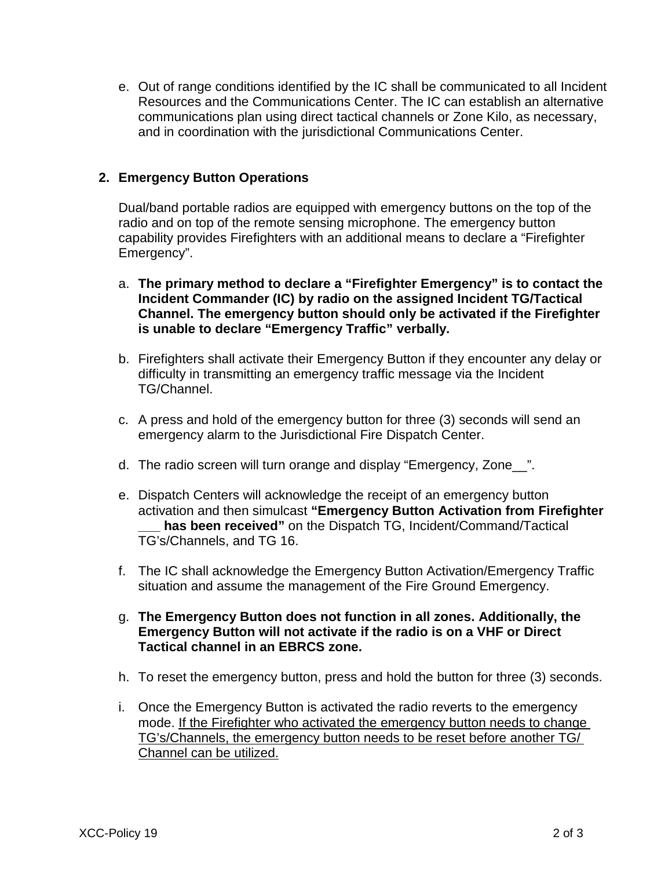e. Out of range conditions identified by the IC shall be communicated to all Incident Resources and the Communications Center. The IC can establish an alternative communications plan using direct tactical channels or Zone Kilo, as necessary, and in coordination with the jurisdictional Communications Center.

## **2. Emergency Button Operations**

Dual/band portable radios are equipped with emergency buttons on the top of the radio and on top of the remote sensing microphone. The emergency button capability provides Firefighters with an additional means to declare a "Firefighter Emergency".

- a. **The primary method to declare a "Firefighter Emergency" is to contact the Incident Commander (IC) by radio on the assigned Incident TG/Tactical Channel. The emergency button should only be activated if the Firefighter is unable to declare "Emergency Traffic" verbally.**
- b. Firefighters shall activate their Emergency Button if they encounter any delay or difficulty in transmitting an emergency traffic message via the Incident TG/Channel.
- c. A press and hold of the emergency button for three (3) seconds will send an emergency alarm to the Jurisdictional Fire Dispatch Center.
- d. The radio screen will turn orange and display "Emergency, Zone\_\_".
- e. Dispatch Centers will acknowledge the receipt of an emergency button activation and then simulcast **"Emergency Button Activation from Firefighter \_\_\_ has been received"** on the Dispatch TG, Incident/Command/Tactical TG's/Channels, and TG 16.
- f. The IC shall acknowledge the Emergency Button Activation/Emergency Traffic situation and assume the management of the Fire Ground Emergency.
- g. **The Emergency Button does not function in all zones. Additionally, the Emergency Button will not activate if the radio is on a VHF or Direct Tactical channel in an EBRCS zone.**
- h. To reset the emergency button, press and hold the button for three (3) seconds.
- i. Once the Emergency Button is activated the radio reverts to the emergency mode. If the Firefighter who activated the emergency button needs to change TG's/Channels, the emergency button needs to be reset before another TG/ Channel can be utilized.